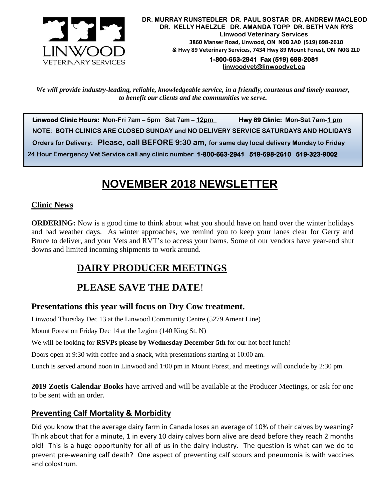

**1-800-663-2941 Fax (519) 698-2081 [linwoodvet@linwoodvet.ca](mailto:linwoodvet@linwoodvet.ca)**

*We will provide industry-leading, reliable, knowledgeable service, in a friendly, courteous and timely manner, to benefit our clients and the communities we serve.*

 **Linwood Clinic Hours: Mon-Fri 7am – 5pm Sat 7am – 12pm Hwy 89 Clinic: Mon-Sat 7am-1 pm NOTE: BOTH CLINICS ARE CLOSED SUNDAY and NO DELIVERY SERVICE SATURDAYS AND HOLIDAYS Orders for Delivery: Please, call BEFORE 9:30 am, for same day local delivery Monday to Friday 24 Hour Emergency Vet Service call any clinic number 1-800-663-2941 519-698-2610 519-323-9002**

# **NOVEMBER 2018 NEWSLETTER**

### **Clinic News**

**ORDERING:** Now is a good time to think about what you should have on hand over the winter holidays and bad weather days. As winter approaches, we remind you to keep your lanes clear for Gerry and Bruce to deliver, and your Vets and RVT's to access your barns. Some of our vendors have year-end shut downs and limited incoming shipments to work around.

# **DAIRY PRODUCER MEETINGS**

# **PLEASE SAVE THE DATE**!

## **Presentations this year will focus on Dry Cow treatment.**

Linwood Thursday Dec 13 at the Linwood Community Centre (5279 Ament Line)

Mount Forest on Friday Dec 14 at the Legion (140 King St. N)

We will be looking for **RSVPs please by Wednesday December 5th** for our hot beef lunch!

Doors open at 9:30 with coffee and a snack, with presentations starting at 10:00 am.

Lunch is served around noon in Linwood and 1:00 pm in Mount Forest, and meetings will conclude by 2:30 pm.

**2019 Zoetis Calendar Books** have arrived and will be available at the Producer Meetings, or ask for one to be sent with an order.

## **Preventing Calf Mortality & Morbidity**

Did you know that the average dairy farm in Canada loses an average of 10% of their calves by weaning? Think about that for a minute, 1 in every 10 dairy calves born alive are dead before they reach 2 months old! This is a huge opportunity for all of us in the dairy industry. The question is what can we do to prevent pre-weaning calf death? One aspect of preventing calf scours and pneumonia is with vaccines and colostrum.